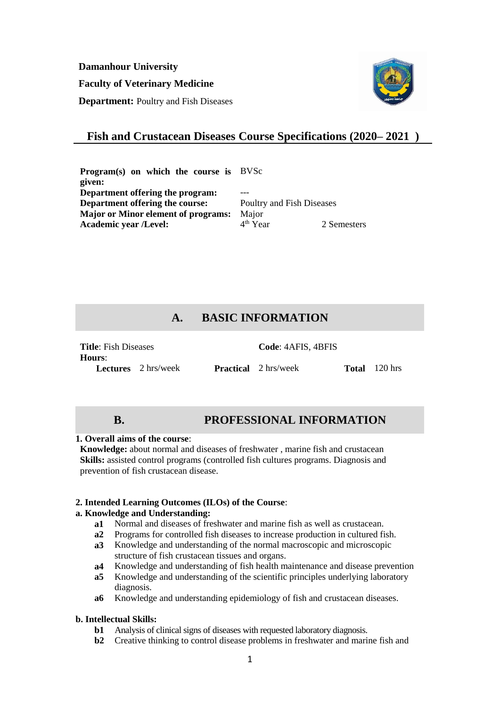**Damanhour University**

**Faculty of Veterinary Medicine**

**Department:** Poultry and Fish Diseases



# **Fish and Crustacean Diseases Course Specifications (2020– 2021 )**

**Program(s) on which the course is**  BVSc **given: Department offering the program: Department offering the course:** Poultry and Fish Diseases **Major or Minor element of programs:** Major<br>**Academic vear /Level:** 4<sup>th</sup> Year **Academic year /Level:** 4 2 Semesters

# **A. BASIC INFORMATION**

| <b>Title:</b> Fish Diseases |                            | Code: 4AFIS, 4BFIS          |                      |
|-----------------------------|----------------------------|-----------------------------|----------------------|
| Hours:                      |                            |                             |                      |
|                             | <b>Lectures</b> 2 hrs/week | <b>Practical</b> 2 hrs/week | <b>Total</b> 120 hrs |

# **B. PROFESSIONAL INFORMATION**

#### **1. Overall aims of the course**:

**Knowledge:** about normal and diseases of freshwater , marine fish and crustacean **Skills:** assisted control programs (controlled fish cultures programs. Diagnosis and prevention of fish crustacean disease.

### **2. Intended Learning Outcomes (ILOs) of the Course**:

# **a. Knowledge and Understanding:**

- **a1** Normal and diseases of freshwater and marine fish as well as crustacean.
- **a2** Programs for controlled fish diseases to increase production in cultured fish.
- **a3** Knowledge and understanding of the normal macroscopic and microscopic structure of fish crustacean tissues and organs.
- **a4** Knowledge and understanding of fish health maintenance and disease prevention
- **a5** Knowledge and understanding of the scientific principles underlying laboratory diagnosis.
- **a6** Knowledge and understanding epidemiology of fish and crustacean diseases.

### **b. Intellectual Skills:**

- **b1** Analysis of clinical signs of diseases with requested laboratory diagnosis.
- **b2** Creative thinking to control disease problems in freshwater and marine fish and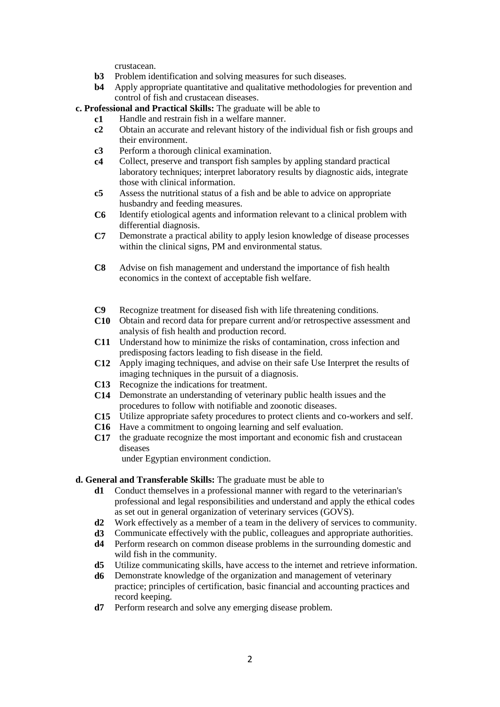crustacean.

- **b3** Problem identification and solving measures for such diseases.<br>**b4** Apply appropriate quantitative and qualitative methodologies for
- Apply appropriate quantitative and qualitative methodologies for prevention and control of fish and crustacean diseases.
- **c. Professional and Practical Skills:** The graduate will be able to
	- **c1** Handle and restrain fish in a welfare manner.
	- **c2** Obtain an accurate and relevant history of the individual fish or fish groups and their environment.
	- **c3** Perform a thorough clinical examination.
	- **c4** Collect, preserve and transport fish samples by appling standard practical laboratory techniques; interpret laboratory results by diagnostic aids, integrate those with clinical information.
	- **c5** Assess the nutritional status of a fish and be able to advice on appropriate husbandry and feeding measures.
	- **C6** Identify etiological agents and information relevant to a clinical problem with differential diagnosis.
	- **C7** Demonstrate a practical ability to apply lesion knowledge of disease processes within the clinical signs, PM and environmental status.
	- **C8** Advise on fish management and understand the importance of fish health economics in the context of acceptable fish welfare.
	- **C9** Recognize treatment for diseased fish with life threatening conditions.
	- **C10** Obtain and record data for prepare current and/or retrospective assessment and analysis of fish health and production record.
	- **C11** Understand how to minimize the risks of contamination, cross infection and predisposing factors leading to fish disease in the field.
	- **C12** Apply imaging techniques, and advise on their safe Use Interpret the results of imaging techniques in the pursuit of a diagnosis.
	- **C13** Recognize the indications for treatment.
	- **C14** Demonstrate an understanding of veterinary public health issues and the procedures to follow with notifiable and zoonotic diseases.
	- **C15** Utilize appropriate safety procedures to protect clients and co-workers and self.
	- **C16** Have a commitment to ongoing learning and self evaluation.
	- **C17** the graduate recognize the most important and economic fish and crustacean diseases

under Egyptian environment condiction.

### **d. General and Transferable Skills:** The graduate must be able to

- **d1** Conduct themselves in a professional manner with regard to the veterinarian's professional and legal responsibilities and understand and apply the ethical codes as set out in general organization of veterinary services (GOVS).
- **d2** Work effectively as a member of a team in the delivery of services to community.
- **d3** Communicate effectively with the public, colleagues and appropriate authorities.
- **d4** Perform research on common disease problems in the surrounding domestic and wild fish in the community.
- **d5** Utilize communicating skills, have access to the internet and retrieve information.
- **d6** Demonstrate knowledge of the organization and management of veterinary practice; principles of certification, basic financial and accounting practices and record keeping.
- **d7** Perform research and solve any emerging disease problem.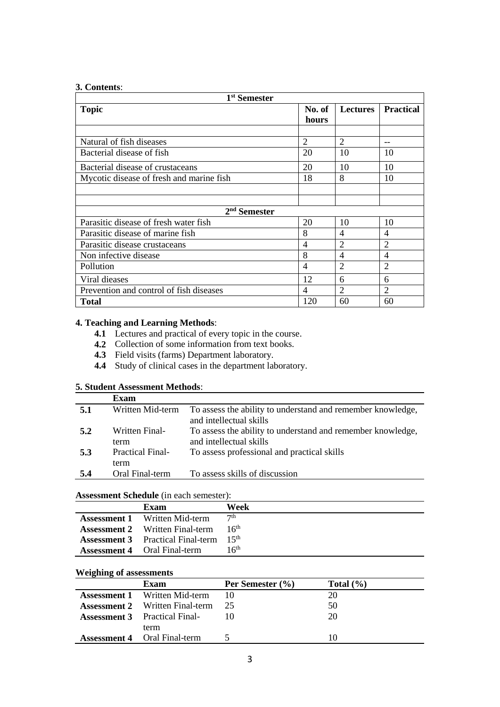### **3. Contents**:

| 1 <sup>st</sup> Semester                 |                 |                 |                  |
|------------------------------------------|-----------------|-----------------|------------------|
| <b>Topic</b>                             | No. of<br>hours | <b>Lectures</b> | <b>Practical</b> |
|                                          |                 |                 |                  |
| Natural of fish diseases                 | $\overline{2}$  | $\mathfrak{D}$  |                  |
| Bacterial disease of fish                | 20              | 10              | 10               |
| Bacterial disease of crustaceans         | 20              | 10              | 10               |
| Mycotic disease of fresh and marine fish | 18              | 8               | 10               |
|                                          |                 |                 |                  |
|                                          |                 |                 |                  |
| $2nd$ Semester                           |                 |                 |                  |
| Parasitic disease of fresh water fish    | 20              | 10              | 10               |
| Parasitic disease of marine fish         | 8               | 4               | $\overline{4}$   |
| Parasitic disease crustaceans            | 4               | $\overline{2}$  | $\overline{2}$   |
| Non infective disease                    | 8               | 4               | 4                |
| Pollution                                | 4               | $\overline{2}$  | $\overline{2}$   |
| Viral dieases                            | 12              | 6               | 6                |
| Prevention and control of fish diseases  | 4               | $\mathfrak{D}$  | $\overline{2}$   |
| <b>Total</b>                             | 120             | 60              | 60               |

# **4. Teaching and Learning Methods**:

- **4.1** Lectures and practical of every topic in the course.
- **4.2** Collection of some information from text books.
- **4.3** Field visits (farms) Department laboratory.
- **4.4** Study of clinical cases in the department laboratory.

# **5. Student Assessment Methods**:

|     | <b>Exam</b>                     |                                                                                        |
|-----|---------------------------------|----------------------------------------------------------------------------------------|
| 5.1 | Written Mid-term                | To assess the ability to understand and remember knowledge,<br>and intellectual skills |
| 5.2 | Written Final-<br>term          | To assess the ability to understand and remember knowledge,<br>and intellectual skills |
| 5.3 | <b>Practical Final-</b><br>term | To assess professional and practical skills                                            |
| 5.4 | Oral Final-term                 | To assess skills of discussion                                                         |

### **Assessment Schedule** (in each semester):

| <b>Assessment Schedule</b> (in each semestel). |                  |
|------------------------------------------------|------------------|
| Exam                                           | Week             |
| <b>Assessment 1</b> Written Mid-term           | 7 <sup>th</sup>  |
| <b>Assessment 2</b> Written Final-term         | 16 <sup>th</sup> |
| <b>Assessment 3</b> Practical Final-term       | 15th             |
| <b>Assessment 4</b> Oral Final-term            | 16th             |
|                                                |                  |

## **Weighing of assessments**

| <i>v</i> eighting of assessments |                                        |                  |               |
|----------------------------------|----------------------------------------|------------------|---------------|
|                                  | Exam                                   | Per Semester (%) | Total $(\% )$ |
|                                  | <b>Assessment 1</b> Written Mid-term   | 10               | 20            |
|                                  | <b>Assessment 2</b> Written Final-term | -25              | 50            |
|                                  | <b>Assessment 3</b> Practical Final-   |                  | 20            |
|                                  | term                                   |                  |               |
|                                  | <b>Assessment 4</b> Oral Final-term    |                  | 10            |